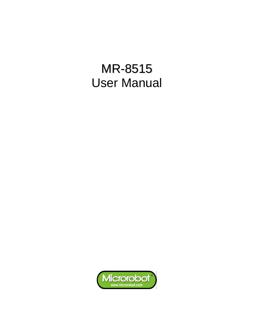# MR-8515 User Manual

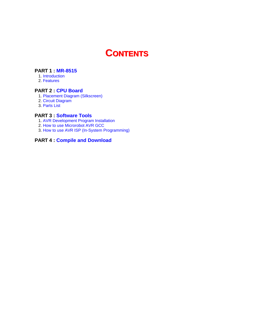# **CONTENTS**

#### **[PART 1 : MR-8515](#page-2-0)**

- [1. Introduction](#page-2-0)
- [2. Features](#page-2-1)

#### **[PART 2 : CPU Board](#page-3-0)**

- [1. Placement Diagram \(Silkscreen\)](#page-3-1)
- [2. Circuit Diagram](#page-4-0)
- [3. Parts List](#page-5-0)

#### **[PART 3 : Software Tools](#page-6-0)**

- [1. AVR Development Program Installation](#page-6-1)
- [2. How to use Microrobot AVR GCC](#page-6-2)
- [3. How to use AVR ISP \(In-System Programming\)](#page-6-2)

### **[PART 4 : Compile and Download](#page-7-0)**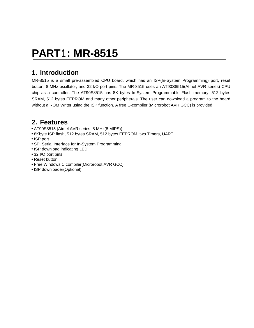# <span id="page-2-0"></span>**PART1 : MR-8515**

### **1. Introduction**

MR-8515 is a small pre-assembled CPU board, which has an ISP(In-System Programming) port, reset button, 8 MHz oscillator, and 32 I/O port pins. The MR-8515 uses an AT90S8515(Atmel AVR series) CPU chip as a controller. The AT90S8515 has 8K bytes In-System Programmable Flash memory, 512 bytes SRAM, 512 bytes EEPROM and many other peripherals. The user can download a program to the board without a ROM Writer using the ISP function. A free C-compiler (Microrobot AVR GCC) is provided.

### <span id="page-2-1"></span>**2. Features**

- AT90S8515 (Atmel AVR series, 8 MHz(8 MIPS))
- 8Kbyte ISP flash, 512 bytes SRAM, 512 bytes EEPROM, two Timers, UART
- ISP port
- SPI Serial Interface for In-System Programming
- ISP download indicating LED
- 32 I/O port pins
- Reset button
- Free Windows C compiler(Microrobot AVR GCC)
- ISP downloader(Optional)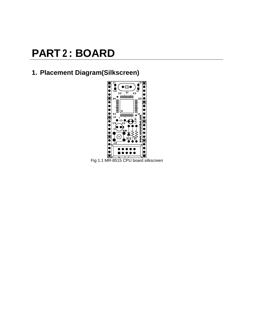# <span id="page-3-0"></span>**PART 2 : BOARD**

## <span id="page-3-1"></span>**1. Placement Diagram(Silkscreen)**



Fig 1.1 MR-8515 CPU board silkscreen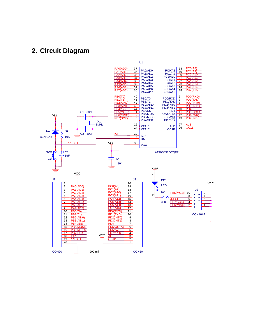### <span id="page-4-0"></span>**2. Circuit Diagram**

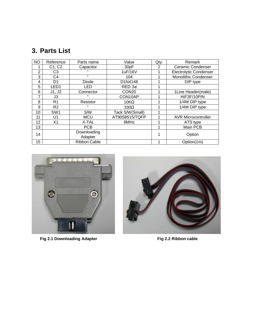## <span id="page-5-0"></span>**3. Parts List**

| <b>NO</b>      | Reference        | Parts name          | Value             | Qty. | Remark                        |
|----------------|------------------|---------------------|-------------------|------|-------------------------------|
|                | C1, C2           | Capacitor           | 30pF              | 2    | Ceramic Condenser             |
| $\overline{2}$ | C3               | ,,                  | 1uF/16V           |      | <b>Electrolytic Condenser</b> |
| 3              | C <sub>4</sub>   | 33                  | 104               |      | <b>Monolithic Condenser</b>   |
| 4              | D1               | Diode               | D1N4148           |      | DIP type                      |
| 5              | LED <sub>1</sub> | LED                 | RED 3ø            |      |                               |
| 6              | J1, J2           | Connector           | CON <sub>20</sub> |      | 1Line Header(male)            |
| 7              | J3.              | ,,                  | CON10AP           |      | HIF3F/10PIN                   |
| 8              | R <sub>1</sub>   | Resistor            | $10K\Omega$       |      | 1/4W DIP type                 |
| 9              | R <sub>2</sub>   | ,,                  | $330\Omega$       |      | 1/4W DIP type                 |
| 10             | SW <sub>1</sub>  | S/W                 | Tack S/W(Small)   |      |                               |
| 11             | U <sub>1</sub>   | <b>MCU</b>          | AT90S8515/TQFP    |      | <b>AVR Microcontroller</b>    |
| 12             | X <sub>1</sub>   | X-TAL               | 8MHz              |      | ATS type                      |
| 13             |                  | <b>PCB</b>          |                   |      | Main PCB                      |
| 14             |                  | Downloading         |                   |      | Option                        |
|                |                  | Adapter             |                   |      |                               |
| 15             |                  | <b>Ribbon Cable</b> |                   |      | Option(1m)                    |



Fig 2.1 Downloading Adapter **Fig 2.2 Ribbon cable** 

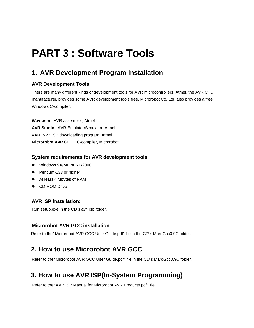# <span id="page-6-0"></span>**PART 3 : Software Tools**

## <span id="page-6-1"></span>**1. AVR Development Program Installation**

### **AVR Development Tools**

There are many different kinds of development tools for AVR microcontrollers. Atmel, the AVR CPU manufacturer, provides some AVR development tools free. Microrobot Co. Ltd. also provides a free Windows C-compiler.

**Wavrasm** : AVR assembler, Atmel. **AVR Studio** : AVR Emulator/Simulator, Atmel. **AVR ISP** : ISP downloading program, Atmel. **Microrobot AVR GCC** : C-compiler, Microrobot.

### <span id="page-6-2"></span>**System requirements for AVR development tools**

- Windows 9X/ME or NT/2000
- Pentium-133 or higher
- At least 4 Mbytes of RAM
- **•** CD-ROM Drive

### **AVR ISP installation:**

Run setup.exe in the CD's avr\_isp folder.

### **Microrobot AVR GCC installation**

Refer to the 'Microrobot AVR GCC User Guide.pdf' file in the CD's MaroGcc0.9C folder.

## **2. How to use Microrobot AVR GCC**

Refer to the 'Microrobot AVR GCC User Guide.pdf' file in the CD's MaroGcc0.9C folder.

## **3. How to use AVR ISP(In-System Programming)**

Refer to the 'AVR ISP Manual for Microrobot AVR Products.pdf' file.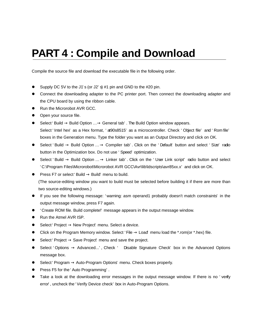# <span id="page-7-0"></span>**PART 4 : Compile and Download**

Compile the source file and download the executable file in the following order.

- Supply DC 5V to the J1's (or J2's) #1 pin and GND to the #20 pin.
- Connect the downloading adapter to the PC printer port. Then connect the downloading adapter and the CPU board by using the ribbon cable.
- Run the Microrobot AVR GCC.
- Open your source file.
- l Select 'Build → Build Option … → General tab'. The Build Option window appears. Select 'Intel hex' as a Hex format, 'at90s8515' as a microcontroller. Check 'Object file' and 'Rom file' boxes in the Generation menu. Type the folder you want as an Output Directory and click on OK.
- $\bullet$  Select 'Build  $\rightarrow$  Build Option  $\ldots \rightarrow$  Compiler tab'. Click on the 'Default' button and select 'Size' radio button in the Optimization box. Do not use 'Speed' optimization.
- $\bullet$  Select 'Build  $\rightarrow$  Build Option  $\ldots \rightarrow$  Linker tab'. Click on the 'User Link script' radio button and select 'C:\Program Files\Microrobot\Microrobot AVR GCC\Avr\lib\ldscripts\avr85xx.x' and click on OK.
- **•** Press F7 or select 'Build  $\rightarrow$  Build' menu to build.

(The source-editing window you want to build must be selected before building it if there are more than two source-editing windows.)

- If you see the following message: 'warning: asm operand1 probably doesn't match constraints' in the output message window, press F7 again.
- l 'Create ROM file. Build complete!' message appears in the output message window.
- Run the Atmel AVR ISP.
- $\bullet$  Select 'Project  $\rightarrow$  New Project' menu. Select a device.
- **I.** Click on the Program Memory window. Select 'File  $\rightarrow$  Load' menu load the \*.rom(or \*.hex) file.
- $\bullet$  Select 'Project  $\rightarrow$  Save Project' menu and save the project.
- $\bullet$  Select 'Options → Advanced...', Check ' ð Disable Signature Check' box in the Advanced Options message box.
- Select 'Program  $\rightarrow$  Auto-Program Options' menu. Check boxes properly.
- Press F5 for the 'Auto Programming'.
- Take a look at the downloading error messages in the output message window. If there is no 'verify error', uncheck the 'Verify Device check' box in Auto-Program Options.